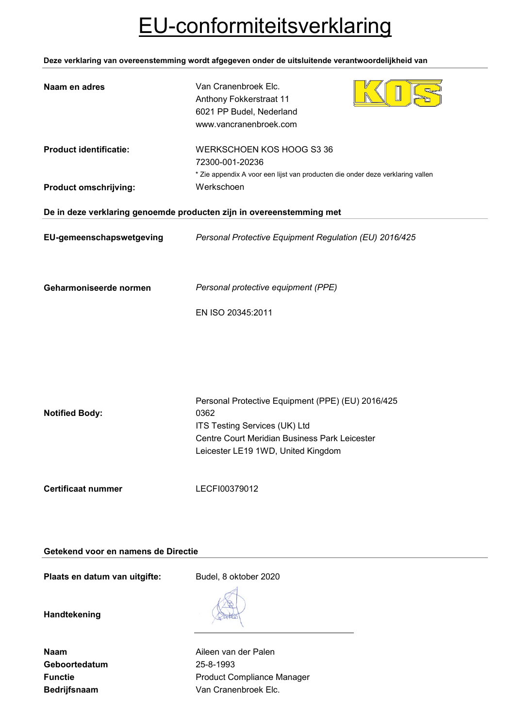# EU-conformiteitsverklaring

**Deze verklaring van overeenstemming wordt afgegeven onder de uitsluitende verantwoordelijkheid van**

| Naam en adres                                                        | Van Cranenbroek Elc.<br>Anthony Fokkerstraat 11<br>6021 PP Budel, Nederland<br>www.vancranenbroek.com                                                                             |  |
|----------------------------------------------------------------------|-----------------------------------------------------------------------------------------------------------------------------------------------------------------------------------|--|
| <b>Product identificatie:</b><br><b>Product omschrijving:</b>        | WERKSCHOEN KOS HOOG S3 36<br>72300-001-20236<br>* Zie appendix A voor een lijst van producten die onder deze verklaring vallen<br>Werkschoen                                      |  |
| De in deze verklaring genoemde producten zijn in overeenstemming met |                                                                                                                                                                                   |  |
| EU-gemeenschapswetgeving                                             | Personal Protective Equipment Regulation (EU) 2016/425                                                                                                                            |  |
| Geharmoniseerde normen                                               | Personal protective equipment (PPE)<br>EN ISO 20345:2011                                                                                                                          |  |
| <b>Notified Body:</b>                                                | Personal Protective Equipment (PPE) (EU) 2016/425<br>0362<br>ITS Testing Services (UK) Ltd<br>Centre Court Meridian Business Park Leicester<br>Leicester LE19 1WD, United Kingdom |  |
| <b>Certificaat nummer</b>                                            | LECFI00379012                                                                                                                                                                     |  |

## **Getekend voor en namens de Directie**

Plaats en datum van uitgifte: Budel, 8 oktober 2020

**Handtekening**

| Naam                |
|---------------------|
| Geboortedatum       |
| <b>Functie</b>      |
| <b>Bedrijfsnaam</b> |

**Aileen van der Palen Geboortedatum** 25-8-1993 **Product Compliance Manager** Van Cranenbroek Elc.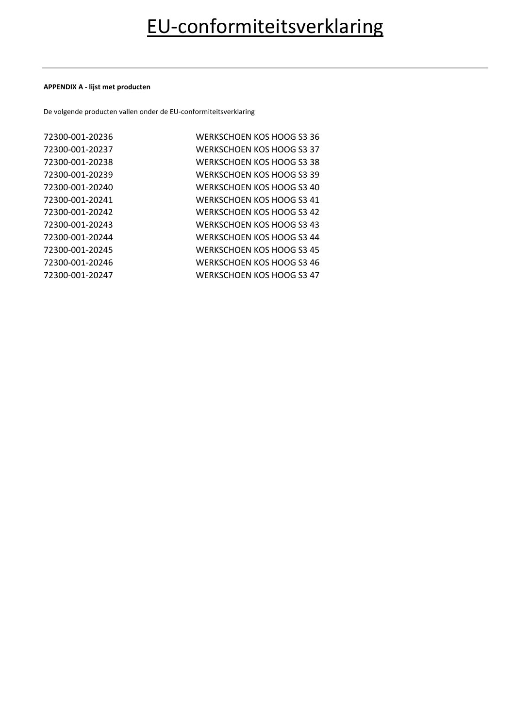#### **APPENDIX A - lijst met producten**

De volgende producten vallen onder de EU-conformiteitsverklaring

| 72300-001-20236 | WERKSCHOEN KOS HOOG S3 36 |
|-----------------|---------------------------|
| 72300-001-20237 | WERKSCHOEN KOS HOOG S3 37 |
| 72300-001-20238 | WERKSCHOEN KOS HOOG S3 38 |
| 72300-001-20239 | WERKSCHOEN KOS HOOG S3 39 |
| 72300-001-20240 | WERKSCHOEN KOS HOOG S3 40 |
| 72300-001-20241 | WERKSCHOEN KOS HOOG S3 41 |
| 72300-001-20242 | WERKSCHOEN KOS HOOG S3 42 |
| 72300-001-20243 | WERKSCHOEN KOS HOOG S3 43 |
| 72300-001-20244 | WERKSCHOEN KOS HOOG S3 44 |
| 72300-001-20245 | WERKSCHOEN KOS HOOG S3 45 |
| 72300-001-20246 | WERKSCHOEN KOS HOOG S3 46 |
| 72300-001-20247 | WERKSCHOEN KOS HOOG S3 47 |
|                 |                           |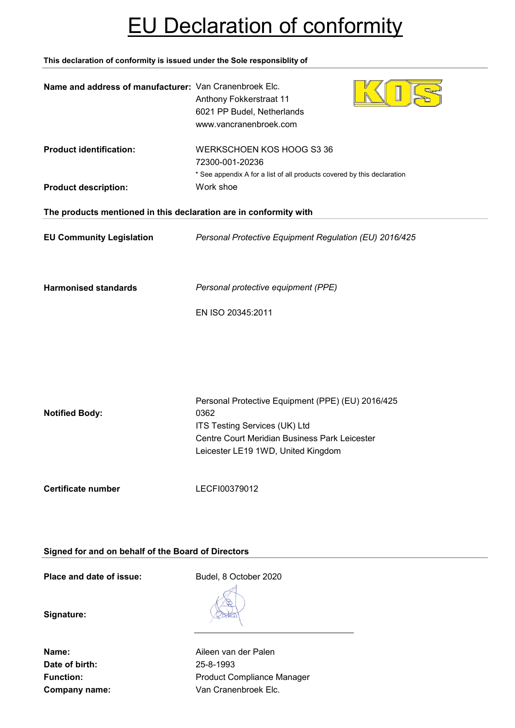# EU Declaration of conformity

**This declaration of conformity is issued under the Sole responsiblity of**

| Name and address of manufacturer: Van Cranenbroek Elc.            | Anthony Fokkerstraat 11<br>6021 PP Budel, Netherlands<br>www.vancranenbroek.com                                                                                                   |  |
|-------------------------------------------------------------------|-----------------------------------------------------------------------------------------------------------------------------------------------------------------------------------|--|
| <b>Product identification:</b>                                    | WERKSCHOEN KOS HOOG S3 36<br>72300-001-20236<br>* See appendix A for a list of all products covered by this declaration                                                           |  |
| <b>Product description:</b>                                       | Work shoe                                                                                                                                                                         |  |
| The products mentioned in this declaration are in conformity with |                                                                                                                                                                                   |  |
| <b>EU Community Legislation</b>                                   | Personal Protective Equipment Regulation (EU) 2016/425                                                                                                                            |  |
| <b>Harmonised standards</b>                                       | Personal protective equipment (PPE)<br>EN ISO 20345:2011                                                                                                                          |  |
| <b>Notified Body:</b>                                             | Personal Protective Equipment (PPE) (EU) 2016/425<br>0362<br>ITS Testing Services (UK) Ltd<br>Centre Court Meridian Business Park Leicester<br>Leicester LE19 1WD, United Kingdom |  |
| <b>Certificate number</b>                                         | LECFI00379012                                                                                                                                                                     |  |

**Signed for and on behalf of the Board of Directors**

**Place and date of issue:** Budel, 8 October 2020

**Signature:**

**Date of birth:** 25-8-1993

**Name:** Aileen van der Palen Function: **Function:** Product Compliance Manager **Company name:** Van Cranenbroek Elc.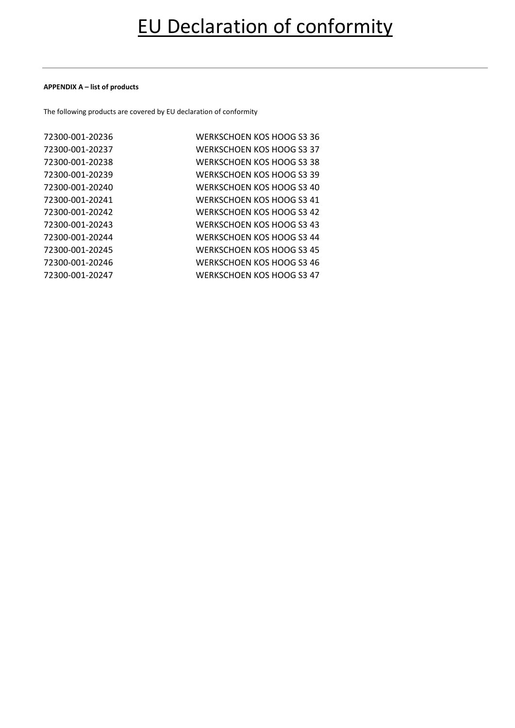#### **APPENDIX A – list of products**

The following products are covered by EU declaration of conformity

| 72300-001-20236 | WERKSCHOEN KOS HOOG S3 36        |
|-----------------|----------------------------------|
| 72300-001-20237 | WERKSCHOEN KOS HOOG S3 37        |
| 72300-001-20238 | WERKSCHOEN KOS HOOG S3 38        |
| 72300-001-20239 | WERKSCHOEN KOS HOOG S3 39        |
| 72300-001-20240 | WERKSCHOEN KOS HOOG S3 40        |
| 72300-001-20241 | <b>WERKSCHOEN KOS HOOG S3 41</b> |
| 72300-001-20242 | WERKSCHOEN KOS HOOG S3 42        |
| 72300-001-20243 | WERKSCHOEN KOS HOOG S3 43        |
| 72300-001-20244 | WERKSCHOEN KOS HOOG S3 44        |
| 72300-001-20245 | WERKSCHOEN KOS HOOG S3 45        |
| 72300-001-20246 | WERKSCHOEN KOS HOOG S3 46        |
| 72300-001-20247 | <b>WERKSCHOEN KOS HOOG S3 47</b> |
|                 |                                  |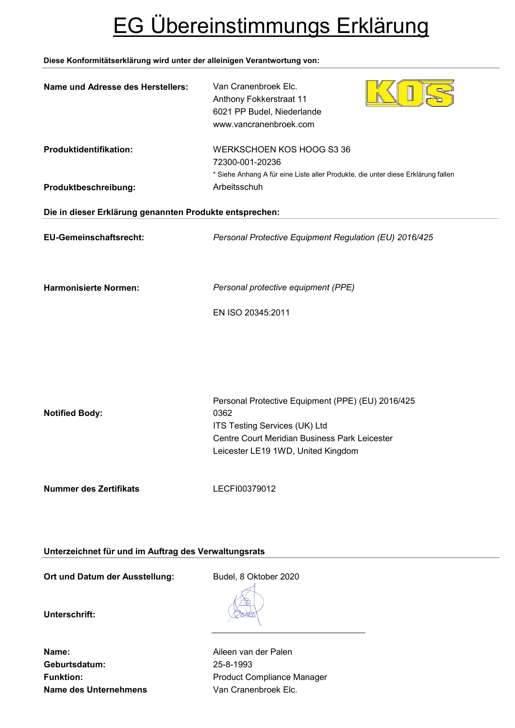# EG Übereinstimmungs Erklärung

## **Diese Konformitätserklärung wird unter der alleinigen Verantwortung von:**

| Name und Adresse des Herstellers:                       | Van Cranenbroek Elc.<br>Anthony Fokkerstraat 11<br>6021 PP Budel, Niederlande<br>www.vancranenbroek.com                          |
|---------------------------------------------------------|----------------------------------------------------------------------------------------------------------------------------------|
| Produktidentifikation:                                  | WERKSCHOEN KOS HOOG S3 36<br>72300-001-20236<br>* Siehe Anhang A für eine Liste aller Produkte, die unter diese Erklärung fallen |
| Produktbeschreibung:                                    | Arbeitsschuh                                                                                                                     |
| Die in dieser Erklärung genannten Produkte entsprechen: |                                                                                                                                  |
| EU-Gemeinschaftsrecht:                                  | Personal Protective Equipment Regulation (EU) 2016/425                                                                           |
| <b>Harmonisierte Normen:</b>                            | Personal protective equipment (PPE)<br>EN ISO 20345:2011                                                                         |
|                                                         |                                                                                                                                  |
|                                                         | Personal Protective Equipment (PPE) (EU) 2016/425                                                                                |
| <b>Notified Body:</b>                                   | 0362                                                                                                                             |
|                                                         | ITS Testing Services (UK) Ltd                                                                                                    |
|                                                         | Centre Court Meridian Business Park Leicester<br>Leicester LE19 1WD, United Kingdom                                              |
| <b>Nummer des Zertifikats</b>                           | LECFI00379012                                                                                                                    |
| Unterzeichnet für und im Auftrag des Verwaltungsrats    |                                                                                                                                  |

Ort und Datum der Ausstellung: Budel, 8 Oktober 2020

**Unterschrift:**

**Name:** Aileen van der Palen **Geburtsdatum:** 25-8-1993 **Name des Unternehmens** Van Cranenbroek Elc.

Funktion: **Funktion:** Product Compliance Manager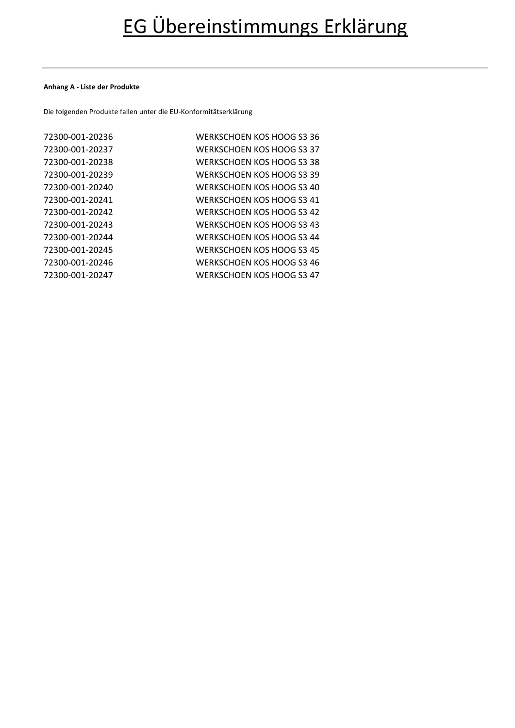#### **Anhang A - Liste der Produkte**

Die folgenden Produkte fallen unter die EU-Konformitätserklärung

| 72300-001-20236 | WERKSCHOEN KOS HOOG S3 36 |
|-----------------|---------------------------|
| 72300-001-20237 | WERKSCHOEN KOS HOOG S3 37 |
| 72300-001-20238 | WERKSCHOEN KOS HOOG S3 38 |
| 72300-001-20239 | WERKSCHOEN KOS HOOG S3 39 |
| 72300-001-20240 | WERKSCHOEN KOS HOOG S3 40 |
| 72300-001-20241 | WERKSCHOEN KOS HOOG S3 41 |
| 72300-001-20242 | WERKSCHOEN KOS HOOG S3 42 |
| 72300-001-20243 | WERKSCHOEN KOS HOOG S3 43 |
| 72300-001-20244 | WERKSCHOEN KOS HOOG S3 44 |
| 72300-001-20245 | WERKSCHOEN KOS HOOG S3 45 |
| 72300-001-20246 | WERKSCHOEN KOS HOOG S3 46 |
| 72300-001-20247 | WERKSCHOEN KOS HOOG S3 47 |
|                 |                           |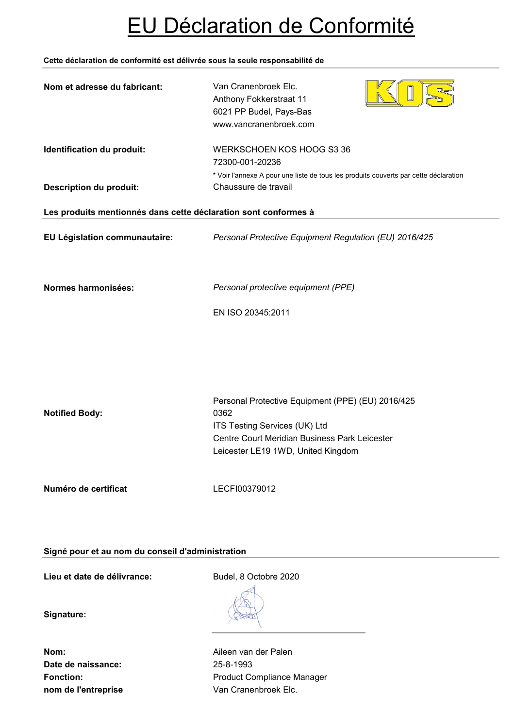# EU Déclaration de Conformité

### **Cette déclaration de conformité est délivrée sous la seule responsabilité de**

| Nom et adresse du fabricant:                                    | Van Cranenbroek Elc.<br>Anthony Fokkerstraat 11<br>6021 PP Budel, Pays-Bas<br>www.vancranenbroek.com                                                                              |
|-----------------------------------------------------------------|-----------------------------------------------------------------------------------------------------------------------------------------------------------------------------------|
| Identification du produit:<br><b>Description du produit:</b>    | WERKSCHOEN KOS HOOG S3 36<br>72300-001-20236<br>* Voir l'annexe A pour une liste de tous les produits couverts par cette déclaration<br>Chaussure de travail                      |
| Les produits mentionnés dans cette déclaration sont conformes à |                                                                                                                                                                                   |
| EU Législation communautaire:                                   | Personal Protective Equipment Regulation (EU) 2016/425                                                                                                                            |
| Normes harmonisées:                                             | Personal protective equipment (PPE)<br>EN ISO 20345:2011                                                                                                                          |
| <b>Notified Body:</b>                                           | Personal Protective Equipment (PPE) (EU) 2016/425<br>0362<br>ITS Testing Services (UK) Ltd<br>Centre Court Meridian Business Park Leicester<br>Leicester LE19 1WD, United Kingdom |
| Numéro de certificat                                            | LECFI00379012                                                                                                                                                                     |

## **Signé pour et au nom du conseil d'administration**

Lieu et date de délivrance:<br>
Budel, 8 Octobre 2020

**Signature:**

**Date de naissance:** 25-8-1993 **nom de l'entreprise van Cranenbroek Elc.** 

**Nom:** Aileen van der Palen Fonction: **Fonction:** Product Compliance Manager